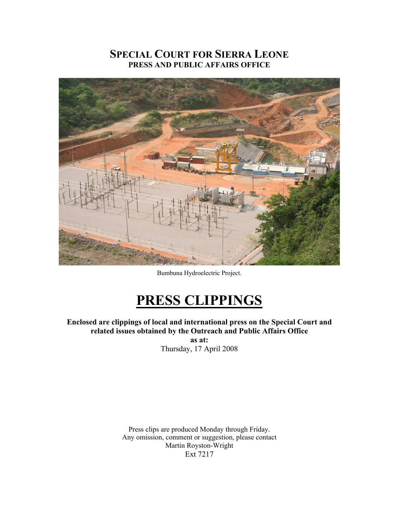# **SPECIAL COURT FOR SIERRA LEONE PRESS AND PUBLIC AFFAIRS OFFICE**



Bumbuna Hydroelectric Project.

# **PRESS CLIPPINGS**

**Enclosed are clippings of local and international press on the Special Court and related issues obtained by the Outreach and Public Affairs Office as at:** 

Thursday, 17 April 2008

Press clips are produced Monday through Friday. Any omission, comment or suggestion, please contact Martin Royston-Wright Ext 7217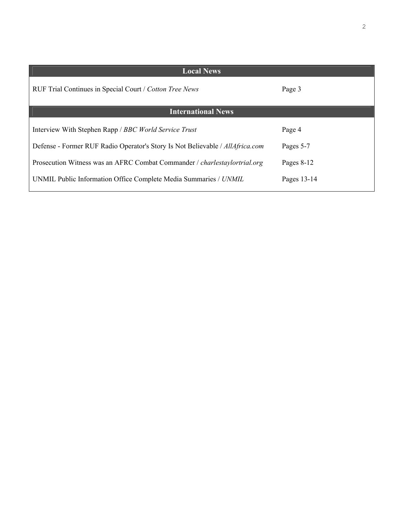| <b>Local News</b>                                                                |             |
|----------------------------------------------------------------------------------|-------------|
| RUF Trial Continues in Special Court / Cotton Tree News                          | Page 3      |
| <b>International News</b>                                                        |             |
| Interview With Stephen Rapp / BBC World Service Trust                            | Page 4      |
| Defense - Former RUF Radio Operator's Story Is Not Believable / AllAfrica.com    | Pages 5-7   |
| Prosecution Witness was an AFRC Combat Commander / <i>charlestaylortrial.org</i> | Pages 8-12  |
| UNMIL Public Information Office Complete Media Summaries / UNMIL                 | Pages 13-14 |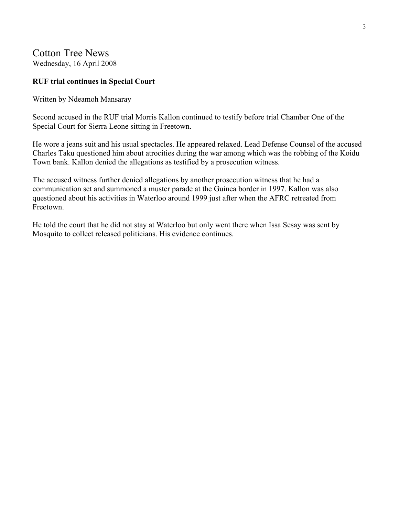# Cotton Tree News Wednesday, 16 April 2008

# **RUF trial continues in Special Court**

Written by Ndeamoh Mansaray

Second accused in the RUF trial Morris Kallon continued to testify before trial Chamber One of the Special Court for Sierra Leone sitting in Freetown.

He wore a jeans suit and his usual spectacles. He appeared relaxed. Lead Defense Counsel of the accused Charles Taku questioned him about atrocities during the war among which was the robbing of the Koidu Town bank. Kallon denied the allegations as testified by a prosecution witness.

The accused witness further denied allegations by another prosecution witness that he had a communication set and summoned a muster parade at the Guinea border in 1997. Kallon was also questioned about his activities in Waterloo around 1999 just after when the AFRC retreated from Freetown.

He told the court that he did not stay at Waterloo but only went there when Issa Sesay was sent by Mosquito to collect released politicians. His evidence continues.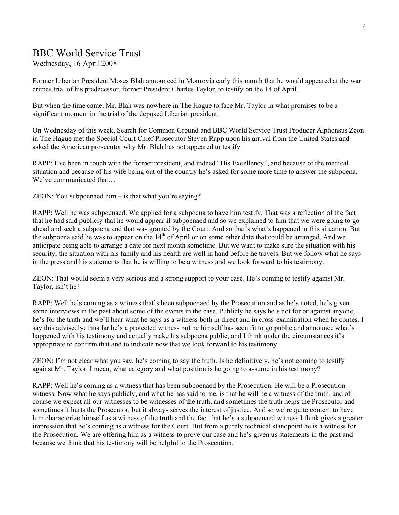# BBC World Service Trust

Wednesday, 16 April 2008

Former Liberian President Moses Blah announced in Monrovia early this month that he would appeared at the war crimes trial of his predecessor, former President Charles Taylor, to testify on the 14 of April.

But when the time came, Mr. Blah was nowhere in The Hague to face Mr. Taylor in what promises to be a significant moment in the trial of the deposed Liberian president.

On Wednesday of this week, Search for Common Ground and BBC World Service Trust Producer Alphonsus Zeon in The Hague met the Special Court Chief Prosecutor Steven Rapp upon his arrival from the United States and asked the American prosecutor why Mr. Blah has not appeared to testify.

RAPP: I've been in touch with the former president, and indeed "His Excellency", and because of the medical situation and because of his wife being out of the country he's asked for some more time to answer the subpoena. We've communicated that…

ZEON: You subpoenaed him – is that what you're saying?

RAPP: Well he was subpoenaed. We applied for a subpoena to have him testify. That was a reflection of the fact that he had said publicly that he would appear if subpoenaed and so we explained to him that we were going to go ahead and seek a subpoena and that was granted by the Court. And so that's what's happened in this situation. But the subpoena said he was to appear on the  $14<sup>th</sup>$  of April or on some other date that could be arranged. And we anticipate being able to arrange a date for next month sometime. But we want to make sure the situation with his security, the situation with his family and his health are well in hand before he travels. But we follow what he says in the press and his statements that he is willing to be a witness and we look forward to his testimony.

ZEON: That would seem a very serious and a strong support to your case. He's coming to testify against Mr. Taylor, isn't he?

RAPP: Well he's coming as a witness that's been subpoenaed by the Prosecution and as he's noted, he's given some interviews in the past about some of the events in the case. Publicly he says he's not for or against anyone, he's for the truth and we'll hear what he says as a witness both in direct and in cross-examination when he comes. I say this advisedly; thus far he's a protected witness but he himself has seen fit to go public and announce what's happened with his testimony and actually make his subpoena public, and I think under the circumstances it's appropriate to confirm that and to indicate now that we look forward to his testimony.

ZEON: I'm not clear what you say, he's coming to say the truth. Is he definitively, he's not coming to testify against Mr. Taylor. I mean, what category and what position is he going to assume in his testimony?

RAPP: Well he's coming as a witness that has been subpoenaed by the Prosecution. He will be a Prosecution witness. Now what he says publicly, and what he has said to me, is that he will be a witness of the truth, and of course we expect all our witnesses to be witnesses of the truth, and sometimes the truth helps the Prosecutor and sometimes it hurts the Prosecutor, but it always serves the interest of justice. And so we're quite content to have him characterize himself as a witness of the truth and the fact that he's a subpoenaed witness I think gives a greater impression that he's coming as a witness for the Court. But from a purely technical standpoint he is a witness for the Prosecution. We are offering him as a witness to prove our case and he's given us statements in the past and because we think that his testimony will be helpful to the Prosecution.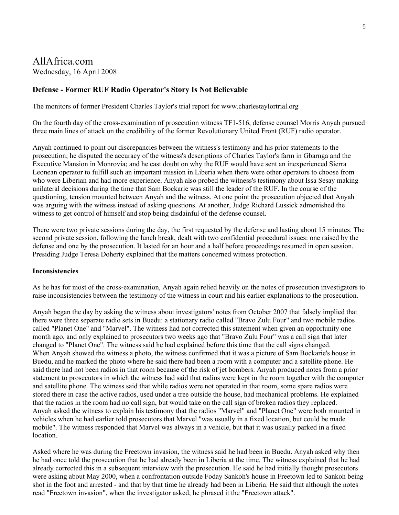# AllAfrica.com Wednesday, 16 April 2008

### **Defense - Former RUF Radio Operator's Story Is Not Believable**

The monitors of former President Charles Taylor's trial report for www.charlestaylortrial.org

On the fourth day of the cross-examination of prosecution witness TF1-516, defense counsel Morris Anyah pursued three main lines of attack on the credibility of the former Revolutionary United Front (RUF) radio operator.

Anyah continued to point out discrepancies between the witness's testimony and his prior statements to the prosecution; he disputed the accuracy of the witness's descriptions of Charles Taylor's farm in Gbarnga and the Executive Mansion in Monrovia; and he cast doubt on why the RUF would have sent an inexperienced Sierra Leonean operator to fulfill such an important mission in Liberia when there were other operators to choose from who were Liberian and had more experience. Anyah also probed the witness's testimony about Issa Sesay making unilateral decisions during the time that Sam Bockarie was still the leader of the RUF. In the course of the questioning, tension mounted between Anyah and the witness. At one point the prosecution objected that Anyah was arguing with the witness instead of asking questions. At another, Judge Richard Lussick admonished the witness to get control of himself and stop being disdainful of the defense counsel.

There were two private sessions during the day, the first requested by the defense and lasting about 15 minutes. The second private session, following the lunch break, dealt with two confidential procedural issues: one raised by the defense and one by the prosecution. It lasted for an hour and a half before proceedings resumed in open session. Presiding Judge Teresa Doherty explained that the matters concerned witness protection.

#### **Inconsistencies**

As he has for most of the cross-examination, Anyah again relied heavily on the notes of prosecution investigators to raise inconsistencies between the testimony of the witness in court and his earlier explanations to the prosecution.

Anyah began the day by asking the witness about investigators' notes from October 2007 that falsely implied that there were three separate radio sets in Buedu: a stationary radio called "Bravo Zulu Four" and two mobile radios called "Planet One" and "Marvel". The witness had not corrected this statement when given an opportunity one month ago, and only explained to prosecutors two weeks ago that "Bravo Zulu Four" was a call sign that later changed to "Planet One". The witness said he had explained before this time that the call signs changed. When Anyah showed the witness a photo, the witness confirmed that it was a picture of Sam Bockarie's house in Buedu, and he marked the photo where he said there had been a room with a computer and a satellite phone. He said there had not been radios in that room because of the risk of jet bombers. Anyah produced notes from a prior statement to prosecutors in which the witness had said that radios were kept in the room together with the computer and satellite phone. The witness said that while radios were not operated in that room, some spare radios were stored there in case the active radios, used under a tree outside the house, had mechanical problems. He explained that the radios in the room had no call sign, but would take on the call sign of broken radios they replaced. Anyah asked the witness to explain his testimony that the radios "Marvel" and "Planet One" were both mounted in vehicles when he had earlier told prosecutors that Marvel "was usually in a fixed location, but could be made mobile". The witness responded that Marvel was always in a vehicle, but that it was usually parked in a fixed location.

Asked where he was during the Freetown invasion, the witness said he had been in Buedu. Anyah asked why then he had once told the prosecution that he had already been in Liberia at the time. The witness explained that he had already corrected this in a subsequent interview with the prosecution. He said he had initially thought prosecutors were asking about May 2000, when a confrontation outside Foday Sankoh's house in Freetown led to Sankoh being shot in the foot and arrested - and that by that time he already had been in Liberia. He said that although the notes read "Freetown invasion", when the investigator asked, he phrased it the "Freetown attack".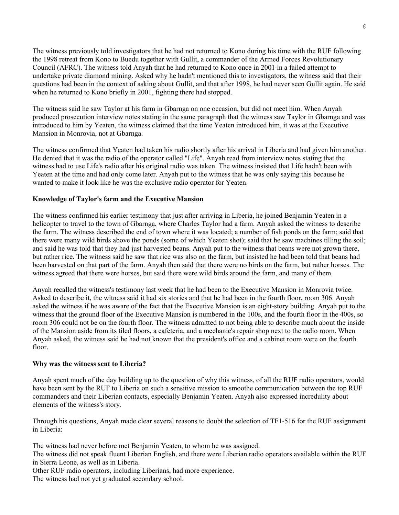The witness previously told investigators that he had not returned to Kono during his time with the RUF following the 1998 retreat from Kono to Buedu together with Gullit, a commander of the Armed Forces Revolutionary Council (AFRC). The witness told Anyah that he had returned to Kono once in 2001 in a failed attempt to undertake private diamond mining. Asked why he hadn't mentioned this to investigators, the witness said that their questions had been in the context of asking about Gullit, and that after 1998, he had never seen Gullit again. He said when he returned to Kono briefly in 2001, fighting there had stopped.

The witness said he saw Taylor at his farm in Gbarnga on one occasion, but did not meet him. When Anyah produced prosecution interview notes stating in the same paragraph that the witness saw Taylor in Gbarnga and was introduced to him by Yeaten, the witness claimed that the time Yeaten introduced him, it was at the Executive Mansion in Monrovia, not at Gbarnga.

The witness confirmed that Yeaten had taken his radio shortly after his arrival in Liberia and had given him another. He denied that it was the radio of the operator called "Life". Anyah read from interview notes stating that the witness had to use Life's radio after his original radio was taken. The witness insisted that Life hadn't been with Yeaten at the time and had only come later. Anyah put to the witness that he was only saying this because he wanted to make it look like he was the exclusive radio operator for Yeaten.

### **Knowledge of Taylor's farm and the Executive Mansion**

The witness confirmed his earlier testimony that just after arriving in Liberia, he joined Benjamin Yeaten in a helicopter to travel to the town of Gbarnga, where Charles Taylor had a farm. Anyah asked the witness to describe the farm. The witness described the end of town where it was located; a number of fish ponds on the farm; said that there were many wild birds above the ponds (some of which Yeaten shot); said that he saw machines tilling the soil; and said he was told that they had just harvested beans. Anyah put to the witness that beans were not grown there, but rather rice. The witness said he saw that rice was also on the farm, but insisted he had been told that beans had been harvested on that part of the farm. Anyah then said that there were no birds on the farm, but rather horses. The witness agreed that there were horses, but said there were wild birds around the farm, and many of them.

Anyah recalled the witness's testimony last week that he had been to the Executive Mansion in Monrovia twice. Asked to describe it, the witness said it had six stories and that he had been in the fourth floor, room 306. Anyah asked the witness if he was aware of the fact that the Executive Mansion is an eight-story building. Anyah put to the witness that the ground floor of the Executive Mansion is numbered in the 100s, and the fourth floor in the 400s, so room 306 could not be on the fourth floor. The witness admitted to not being able to describe much about the inside of the Mansion aside from its tiled floors, a cafeteria, and a mechanic's repair shop next to the radio room. When Anyah asked, the witness said he had not known that the president's office and a cabinet room were on the fourth floor.

#### **Why was the witness sent to Liberia?**

Anyah spent much of the day building up to the question of why this witness, of all the RUF radio operators, would have been sent by the RUF to Liberia on such a sensitive mission to smoothe communication between the top RUF commanders and their Liberian contacts, especially Benjamin Yeaten. Anyah also expressed incredulity about elements of the witness's story.

Through his questions, Anyah made clear several reasons to doubt the selection of TF1-516 for the RUF assignment in Liberia:

The witness had never before met Benjamin Yeaten, to whom he was assigned.

The witness did not speak fluent Liberian English, and there were Liberian radio operators available within the RUF in Sierra Leone, as well as in Liberia.

Other RUF radio operators, including Liberians, had more experience. The witness had not yet graduated secondary school.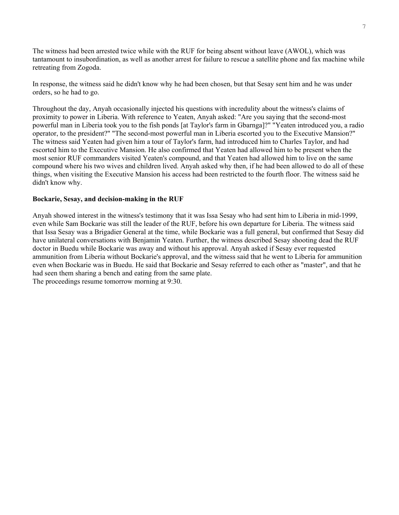The witness had been arrested twice while with the RUF for being absent without leave (AWOL), which was tantamount to insubordination, as well as another arrest for failure to rescue a satellite phone and fax machine while retreating from Zogoda.

In response, the witness said he didn't know why he had been chosen, but that Sesay sent him and he was under orders, so he had to go.

Throughout the day, Anyah occasionally injected his questions with incredulity about the witness's claims of proximity to power in Liberia. With reference to Yeaten, Anyah asked: "Are you saying that the second-most powerful man in Liberia took you to the fish ponds [at Taylor's farm in Gbarnga]?" "Yeaten introduced you, a radio operator, to the president?" "The second-most powerful man in Liberia escorted you to the Executive Mansion?" The witness said Yeaten had given him a tour of Taylor's farm, had introduced him to Charles Taylor, and had escorted him to the Executive Mansion. He also confirmed that Yeaten had allowed him to be present when the most senior RUF commanders visited Yeaten's compound, and that Yeaten had allowed him to live on the same compound where his two wives and children lived. Anyah asked why then, if he had been allowed to do all of these things, when visiting the Executive Mansion his access had been restricted to the fourth floor. The witness said he didn't know why.

#### **Bockarie, Sesay, and decision-making in the RUF**

Anyah showed interest in the witness's testimony that it was Issa Sesay who had sent him to Liberia in mid-1999, even while Sam Bockarie was still the leader of the RUF, before his own departure for Liberia. The witness said that Issa Sesay was a Brigadier General at the time, while Bockarie was a full general, but confirmed that Sesay did have unilateral conversations with Benjamin Yeaten. Further, the witness described Sesay shooting dead the RUF doctor in Buedu while Bockarie was away and without his approval. Anyah asked if Sesay ever requested ammunition from Liberia without Bockarie's approval, and the witness said that he went to Liberia for ammunition even when Bockarie was in Buedu. He said that Bockarie and Sesay referred to each other as "master", and that he had seen them sharing a bench and eating from the same plate.

The proceedings resume tomorrow morning at 9:30.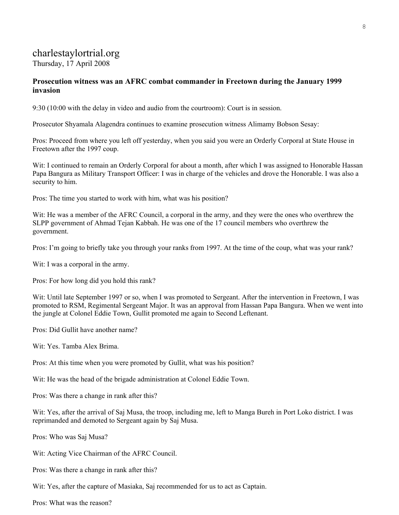# charlestaylortrial.org

Thursday, 17 April 2008

# **Prosecution witness was an AFRC combat commander in Freetown during the January 1999 invasion**

9:30 (10:00 with the delay in video and audio from the courtroom): Court is in session.

Prosecutor Shyamala Alagendra continues to examine prosecution witness Alimamy Bobson Sesay:

Pros: Proceed from where you left off yesterday, when you said you were an Orderly Corporal at State House in Freetown after the 1997 coup.

Wit: I continued to remain an Orderly Corporal for about a month, after which I was assigned to Honorable Hassan Papa Bangura as Military Transport Officer: I was in charge of the vehicles and drove the Honorable. I was also a security to him.

Pros: The time you started to work with him, what was his position?

Wit: He was a member of the AFRC Council, a corporal in the army, and they were the ones who overthrew the SLPP government of Ahmad Tejan Kabbah. He was one of the 17 council members who overthrew the government.

Pros: I'm going to briefly take you through your ranks from 1997. At the time of the coup, what was your rank?

Wit: I was a corporal in the army.

Pros: For how long did you hold this rank?

Wit: Until late September 1997 or so, when I was promoted to Sergeant. After the intervention in Freetown, I was promoted to RSM, Regimental Sergeant Major. It was an approval from Hassan Papa Bangura. When we went into the jungle at Colonel Eddie Town, Gullit promoted me again to Second Leftenant.

Pros: Did Gullit have another name?

Wit: Yes. Tamba Alex Brima.

Pros: At this time when you were promoted by Gullit, what was his position?

Wit: He was the head of the brigade administration at Colonel Eddie Town.

Pros: Was there a change in rank after this?

Wit: Yes, after the arrival of Saj Musa, the troop, including me, left to Manga Bureh in Port Loko district. I was reprimanded and demoted to Sergeant again by Saj Musa.

Pros: Who was Saj Musa?

Wit: Acting Vice Chairman of the AFRC Council.

- Pros: Was there a change in rank after this?
- Wit: Yes, after the capture of Masiaka, Saj recommended for us to act as Captain.

Pros: What was the reason?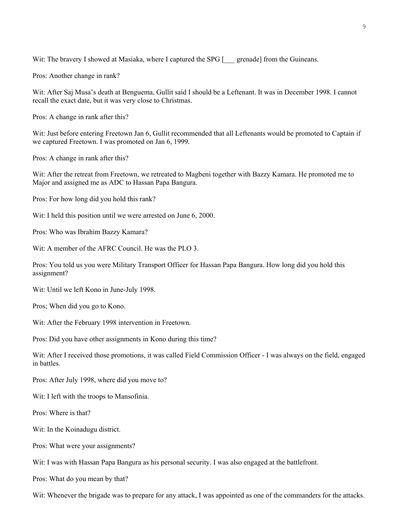Wit: The bravery I showed at Masiaka, where I captured the SPG [ \_\_\_ grenade] from the Guineans.

Pros: Another change in rank?

Wit: After Saj Musa's death at Benguema, Gullit said I should be a Leftenant. It was in December 1998. I cannot recall the exact date, but it was very close to Christmas.

Pros: A change in rank after this?

Wit: Just before entering Freetown Jan 6, Gullit recommended that all Leftenants would be promoted to Captain if we captured Freetown. I was promoted on Jan 6, 1999.

Pros: A change in rank after this?

Wit: After the retreat from Freetown, we retreated to Magbeni together with Bazzy Kamara. He promoted me to Major and assigned me as ADC to Hassan Papa Bangura.

Pros: For how long did you hold this rank?

Wit: I held this position until we were arrested on June 6, 2000.

Pros: Who was Ibrahim Bazzy Kamara?

Wit: A member of the AFRC Council. He was the PLO 3.

Pros: You told us you were Military Transport Officer for Hassan Papa Bangura. How long did you hold this assignment?

Wit: Until we left Kono in June-July 1998.

Pros; When did you go to Kono.

Wit: After the February 1998 intervention in Freetown.

Pros: Did you have other assignments in Kono during this time?

Wit: After I received those promotions, it was called Field Commission Officer - I was always on the field, engaged in battles.

Pros: After July 1998, where did you move to?

Wit: I left with the troops to Mansofinia.

Pros: Where is that?

Wit: In the Koinadugu district.

Pros: What were your assignments?

Wit: I was with Hassan Papa Bangura as his personal security. I was also engaged at the battlefront.

Pros: What do you mean by that?

Wit: Whenever the brigade was to prepare for any attack, I was appointed as one of the commanders for the attacks.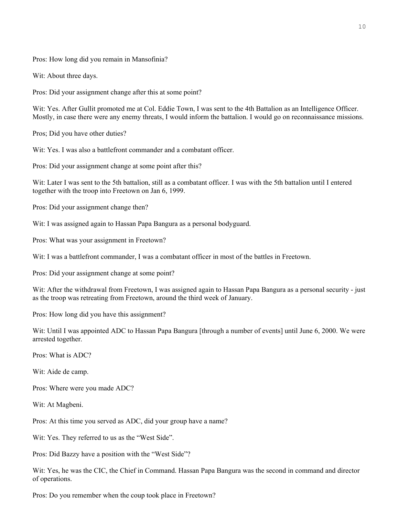Pros: How long did you remain in Mansofinia?

Wit: About three days.

Pros: Did your assignment change after this at some point?

Wit: Yes. After Gullit promoted me at Col. Eddie Town, I was sent to the 4th Battalion as an Intelligence Officer. Mostly, in case there were any enemy threats, I would inform the battalion. I would go on reconnaissance missions.

Pros; Did you have other duties?

Wit: Yes. I was also a battlefront commander and a combatant officer.

Pros: Did your assignment change at some point after this?

Wit: Later I was sent to the 5th battalion, still as a combatant officer. I was with the 5th battalion until I entered together with the troop into Freetown on Jan 6, 1999.

Pros: Did your assignment change then?

Wit: I was assigned again to Hassan Papa Bangura as a personal bodyguard.

Pros: What was your assignment in Freetown?

Wit: I was a battlefront commander, I was a combatant officer in most of the battles in Freetown.

Pros: Did your assignment change at some point?

Wit: After the withdrawal from Freetown, I was assigned again to Hassan Papa Bangura as a personal security - just as the troop was retreating from Freetown, around the third week of January.

Pros: How long did you have this assignment?

Wit: Until I was appointed ADC to Hassan Papa Bangura [through a number of events] until June 6, 2000. We were arrested together.

Pros: What is ADC?

Wit: Aide de camp.

Pros: Where were you made ADC?

Wit: At Magbeni.

Pros: At this time you served as ADC, did your group have a name?

Wit: Yes. They referred to us as the "West Side".

Pros: Did Bazzy have a position with the "West Side"?

Wit: Yes, he was the CIC, the Chief in Command. Hassan Papa Bangura was the second in command and director of operations.

Pros: Do you remember when the coup took place in Freetown?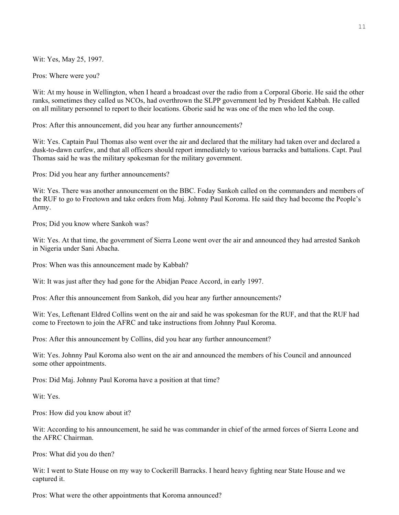Wit: Yes, May 25, 1997.

Pros: Where were you?

Wit: At my house in Wellington, when I heard a broadcast over the radio from a Corporal Gborie. He said the other ranks, sometimes they called us NCOs, had overthrown the SLPP government led by President Kabbah. He called on all military personnel to report to their locations. Gborie said he was one of the men who led the coup.

Pros: After this announcement, did you hear any further announcements?

Wit: Yes. Captain Paul Thomas also went over the air and declared that the military had taken over and declared a dusk-to-dawn curfew, and that all officers should report immediately to various barracks and battalions. Capt. Paul Thomas said he was the military spokesman for the military government.

Pros: Did you hear any further announcements?

Wit: Yes. There was another announcement on the BBC. Foday Sankoh called on the commanders and members of the RUF to go to Freetown and take orders from Maj. Johnny Paul Koroma. He said they had become the People's Army.

Pros; Did you know where Sankoh was?

Wit: Yes. At that time, the government of Sierra Leone went over the air and announced they had arrested Sankoh in Nigeria under Sani Abacha.

Pros: When was this announcement made by Kabbah?

Wit: It was just after they had gone for the Abidjan Peace Accord, in early 1997.

Pros: After this announcement from Sankoh, did you hear any further announcements?

Wit: Yes, Leftenant Eldred Collins went on the air and said he was spokesman for the RUF, and that the RUF had come to Freetown to join the AFRC and take instructions from Johnny Paul Koroma.

Pros: After this announcement by Collins, did you hear any further announcement?

Wit: Yes. Johnny Paul Koroma also went on the air and announced the members of his Council and announced some other appointments.

Pros: Did Maj. Johnny Paul Koroma have a position at that time?

Wit: Yes.

Pros: How did you know about it?

Wit: According to his announcement, he said he was commander in chief of the armed forces of Sierra Leone and the AFRC Chairman.

Pros: What did you do then?

Wit: I went to State House on my way to Cockerill Barracks. I heard heavy fighting near State House and we captured it.

Pros: What were the other appointments that Koroma announced?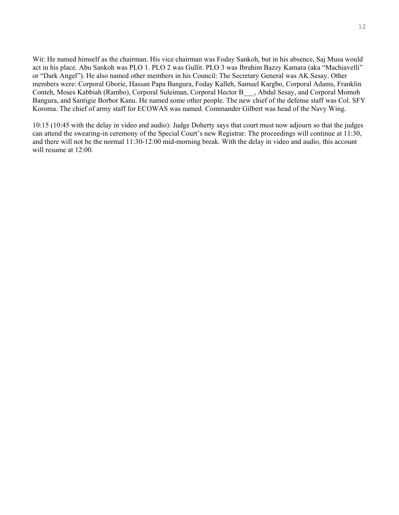Wit: He named himself as the chairman. His vice chairman was Foday Sankoh, but in his absence, Saj Musa would act in his place. Abu Sankoh was PLO 1. PLO 2 was Gullit. PLO 3 was Ibrahim Bazzy Kamara (aka "Machiavelli" or "Dark Angel"). He also named other members in his Council: The Secretary General was AK Sesay. Other members were: Corporal Gborie, Hassan Papa Bangura, Foday Kalleh, Samuel Kargbo, Corporal Adams, Franklin Conteh, Moses Kabbiah (Rambo), Corporal Suleiman, Corporal Hector B\_\_\_, Abdul Sesay, and Corporal Momoh Bangura, and Santigie Borbor Kanu. He named some other people. The new chief of the defense staff was Col. SFY Koroma. The chief of army staff for ECOWAS was named. Commander Gilbert was head of the Navy Wing.

10:15 (10:45 with the delay in video and audio): Judge Doherty says that court must now adjourn so that the judges can attend the swearing-in ceremony of the Special Court's new Registrar. The proceedings will continue at 11:30, and there will not be the normal 11:30-12:00 mid-morning break. With the delay in video and audio, this account will resume at 12:00.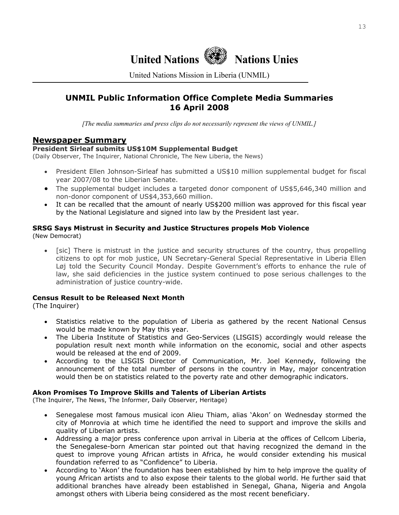

United Nations Mission in Liberia (UNMIL)

# **UNMIL Public Information Office Complete Media Summaries 16 April 2008**

*[The media summaries and press clips do not necessarily represent the views of UNMIL.]*

# **Newspaper Summary**

### **President Sirleaf submits US\$10M Supplemental Budget**

(Daily Observer, The Inquirer, National Chronicle, The New Liberia, the News)

- President Ellen Johnson-Sirleaf has submitted a US\$10 million supplemental budget for fiscal year 2007/08 to the Liberian Senate.
- The supplemental budget includes a targeted donor component of US\$5,646,340 million and non-donor component of US\$4,353,660 million.
- It can be recalled that the amount of nearly US\$200 million was approved for this fiscal year by the National Legislature and signed into law by the President last year.

# **SRSG Says Mistrust in Security and Justice Structures propels Mob Violence**

- (New Democrat)
	- [sic] There is mistrust in the justice and security structures of the country, thus propelling citizens to opt for mob justice, UN Secretary-General Special Representative in Liberia Ellen Løj told the Security Council Monday. Despite Government's efforts to enhance the rule of law, she said deficiencies in the justice system continued to pose serious challenges to the administration of justice country-wide.

# **Census Result to be Released Next Month**

(The Inquirer)

- Statistics relative to the population of Liberia as gathered by the recent National Census would be made known by May this year.
- The Liberia Institute of Statistics and Geo-Services (LISGIS) accordingly would release the population result next month while information on the economic, social and other aspects would be released at the end of 2009.
- According to the LISGIS Director of Communication, Mr. Joel Kennedy, following the announcement of the total number of persons in the country in May, major concentration would then be on statistics related to the poverty rate and other demographic indicators.

#### **Akon Promises To Improve Skills and Talents of Liberian Artists**

(The Inquirer, The News, The Informer, Daily Observer, Heritage)

- Senegalese most famous musical icon Alieu Thiam, alias 'Akon' on Wednesday stormed the city of Monrovia at which time he identified the need to support and improve the skills and quality of Liberian artists.
- Addressing a major press conference upon arrival in Liberia at the offices of Cellcom Liberia, the Senegalese-born American star pointed out that having recognized the demand in the quest to improve young African artists in Africa, he would consider extending his musical foundation referred to as "Confidence" to Liberia.
- According to 'Akon' the foundation has been established by him to help improve the quality of young African artists and to also expose their talents to the global world. He further said that additional branches have already been established in Senegal, Ghana, Nigeria and Angola amongst others with Liberia being considered as the most recent beneficiary.